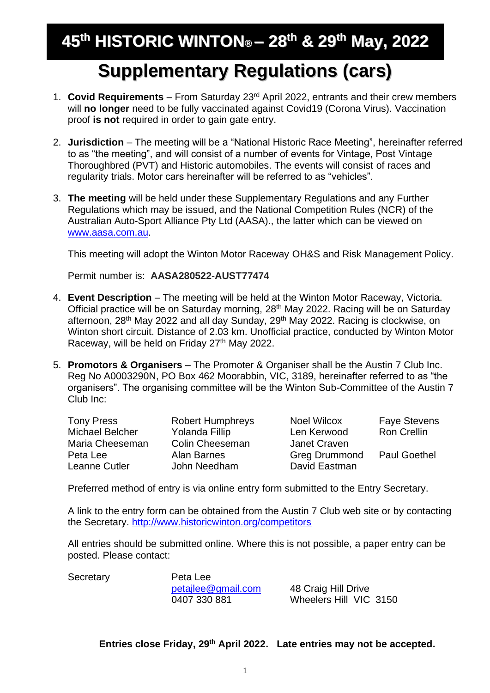# **Supplementary Regulations (cars)**

- 1. **Covid Requirements** From Saturday 23rd April 2022, entrants and their crew members will **no longer** need to be fully vaccinated against Covid19 (Corona Virus). Vaccination proof **is not** required in order to gain gate entry.
- 2. **Jurisdiction** The meeting will be a "National Historic Race Meeting", hereinafter referred to as "the meeting", and will consist of a number of events for Vintage, Post Vintage Thoroughbred (PVT) and Historic automobiles. The events will consist of races and regularity trials. Motor cars hereinafter will be referred to as "vehicles".
- 3. **The meeting** will be held under these Supplementary Regulations and any Further Regulations which may be issued, and the National Competition Rules (NCR) of the Australian Auto-Sport Alliance Pty Ltd (AASA)., the latter which can be viewed on [www.aasa.com.au.](http://www.aasa.com.au/)

This meeting will adopt the Winton Motor Raceway OH&S and Risk Management Policy.

Permit number is: **AASA280522-AUST77474**

- 4. **Event Description** The meeting will be held at the Winton Motor Raceway, Victoria. Official practice will be on Saturday morning, 28<sup>th</sup> May 2022. Racing will be on Saturday afternoon, 28<sup>th</sup> May 2022 and all day Sunday, 29<sup>th</sup> May 2022. Racing is clockwise, on Winton short circuit. Distance of 2.03 km. Unofficial practice, conducted by Winton Motor Raceway, will be held on Friday 27<sup>th</sup> May 2022.
- 5. **Promotors & Organisers** The Promoter & Organiser shall be the Austin 7 Club Inc. Reg No A0003290N, PO Box 462 Moorabbin, VIC, 3189, hereinafter referred to as "the organisers". The organising committee will be the Winton Sub-Committee of the Austin 7 Club Inc:

| <b>Tony Press</b> | <b>Robert Humphreys</b> | <b>Noel Wilcox</b>   | <b>Faye Stevens</b> |
|-------------------|-------------------------|----------------------|---------------------|
| Michael Belcher   | Yolanda Fillip          | Len Kerwood          | <b>Ron Crellin</b>  |
| Maria Cheeseman   | <b>Colin Cheeseman</b>  | Janet Craven         |                     |
| Peta Lee          | Alan Barnes             | <b>Greg Drummond</b> | <b>Paul Goethel</b> |
| Leanne Cutler     | John Needham            | David Eastman        |                     |

Preferred method of entry is via online entry form submitted to the Entry Secretary.

A link to the entry form can be obtained from the Austin 7 Club web site or by contacting the Secretary. <http://www.historicwinton.org/competitors>

All entries should be submitted online. Where this is not possible, a paper entry can be posted. Please contact:

Secretary Peta Lee

[petajlee@gmail.com](mailto:petajlee@gmail.com) 48 Craig Hill Drive

0407 330 881 Wheelers Hill VIC 3150

## **Entries close Friday, 29th April 2022. Late entries may not be accepted.**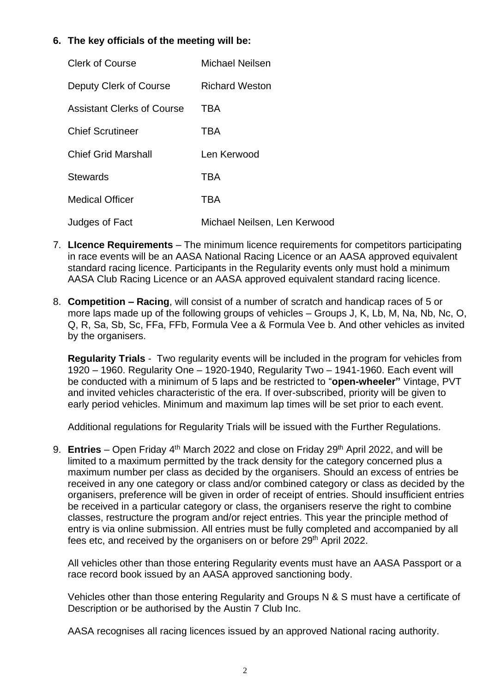## **6. The key officials of the meeting will be:**

| <b>Clerk of Course</b>     | Michael Neilsen              |
|----------------------------|------------------------------|
| Deputy Clerk of Course     | <b>Richard Weston</b>        |
| Assistant Clerks of Course | TBA                          |
| <b>Chief Scrutineer</b>    | TBA                          |
| <b>Chief Grid Marshall</b> | Len Kerwood                  |
| <b>Stewards</b>            | TBA                          |
| <b>Medical Officer</b>     | <b>TBA</b>                   |
| Judges of Fact             | Michael Neilsen, Len Kerwood |

- 7. **LIcence Requirements**  The minimum licence requirements for competitors participating in race events will be an AASA National Racing Licence or an AASA approved equivalent standard racing licence. Participants in the Regularity events only must hold a minimum AASA Club Racing Licence or an AASA approved equivalent standard racing licence.
- 8. **Competition – Racing**, will consist of a number of scratch and handicap races of 5 or more laps made up of the following groups of vehicles – Groups J, K, Lb, M, Na, Nb, Nc, O, Q, R, Sa, Sb, Sc, FFa, FFb, Formula Vee a & Formula Vee b. And other vehicles as invited by the organisers.

**Regularity Trials** - Two regularity events will be included in the program for vehicles from 1920 – 1960. Regularity One – 1920-1940, Regularity Two – 1941-1960. Each event will be conducted with a minimum of 5 laps and be restricted to "**open-wheeler"** Vintage, PVT and invited vehicles characteristic of the era. If over-subscribed, priority will be given to early period vehicles. Minimum and maximum lap times will be set prior to each event.

Additional regulations for Regularity Trials will be issued with the Further Regulations.

9. **Entries** – Open Friday 4<sup>th</sup> March 2022 and close on Friday 29<sup>th</sup> April 2022, and will be limited to a maximum permitted by the track density for the category concerned plus a maximum number per class as decided by the organisers. Should an excess of entries be received in any one category or class and/or combined category or class as decided by the organisers, preference will be given in order of receipt of entries. Should insufficient entries be received in a particular category or class, the organisers reserve the right to combine classes, restructure the program and/or reject entries. This year the principle method of entry is via online submission. All entries must be fully completed and accompanied by all fees etc, and received by the organisers on or before 29<sup>th</sup> April 2022.

All vehicles other than those entering Regularity events must have an AASA Passport or a race record book issued by an AASA approved sanctioning body.

Vehicles other than those entering Regularity and Groups N & S must have a certificate of Description or be authorised by the Austin 7 Club Inc.

AASA recognises all racing licences issued by an approved National racing authority.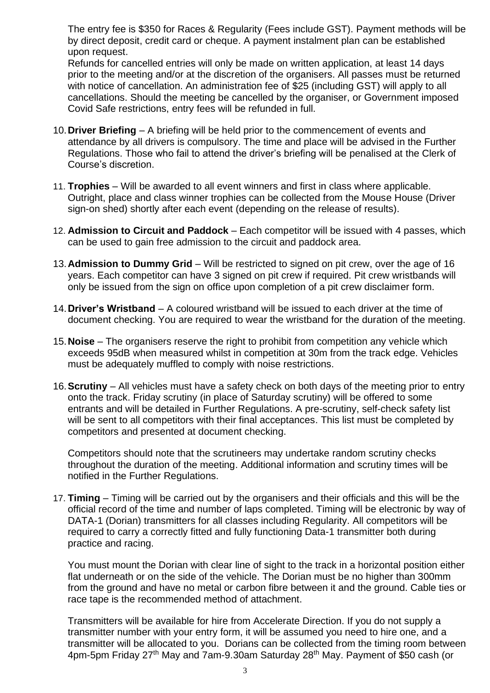The entry fee is \$350 for Races & Regularity (Fees include GST). Payment methods will be by direct deposit, credit card or cheque. A payment instalment plan can be established upon request.

Refunds for cancelled entries will only be made on written application, at least 14 days prior to the meeting and/or at the discretion of the organisers. All passes must be returned with notice of cancellation. An administration fee of \$25 (including GST) will apply to all cancellations. Should the meeting be cancelled by the organiser, or Government imposed Covid Safe restrictions, entry fees will be refunded in full.

- 10.**Driver Briefing** A briefing will be held prior to the commencement of events and attendance by all drivers is compulsory. The time and place will be advised in the Further Regulations. Those who fail to attend the driver's briefing will be penalised at the Clerk of Course's discretion.
- 11. **Trophies**  Will be awarded to all event winners and first in class where applicable. Outright, place and class winner trophies can be collected from the Mouse House (Driver sign-on shed) shortly after each event (depending on the release of results).
- 12. **Admission to Circuit and Paddock** Each competitor will be issued with 4 passes, which can be used to gain free admission to the circuit and paddock area.
- 13.**Admission to Dummy Grid** Will be restricted to signed on pit crew, over the age of 16 years. Each competitor can have 3 signed on pit crew if required. Pit crew wristbands will only be issued from the sign on office upon completion of a pit crew disclaimer form.
- 14.**Driver's Wristband** A coloured wristband will be issued to each driver at the time of document checking. You are required to wear the wristband for the duration of the meeting.
- 15.**Noise** The organisers reserve the right to prohibit from competition any vehicle which exceeds 95dB when measured whilst in competition at 30m from the track edge. Vehicles must be adequately muffled to comply with noise restrictions.
- 16.**Scrutiny** All vehicles must have a safety check on both days of the meeting prior to entry onto the track. Friday scrutiny (in place of Saturday scrutiny) will be offered to some entrants and will be detailed in Further Regulations. A pre-scrutiny, self-check safety list will be sent to all competitors with their final acceptances. This list must be completed by competitors and presented at document checking.

Competitors should note that the scrutineers may undertake random scrutiny checks throughout the duration of the meeting. Additional information and scrutiny times will be notified in the Further Regulations.

17. **Timing** – Timing will be carried out by the organisers and their officials and this will be the official record of the time and number of laps completed. Timing will be electronic by way of DATA-1 (Dorian) transmitters for all classes including Regularity. All competitors will be required to carry a correctly fitted and fully functioning Data-1 transmitter both during practice and racing.

You must mount the Dorian with clear line of sight to the track in a horizontal position either flat underneath or on the side of the vehicle. The Dorian must be no higher than 300mm from the ground and have no metal or carbon fibre between it and the ground. Cable ties or race tape is the recommended method of attachment.

Transmitters will be available for hire from Accelerate Direction. If you do not supply a transmitter number with your entry form, it will be assumed you need to hire one, and a transmitter will be allocated to you. Dorians can be collected from the timing room between 4pm-5pm Friday 27<sup>th</sup> May and 7am-9.30am Saturday 28<sup>th</sup> May. Payment of \$50 cash (or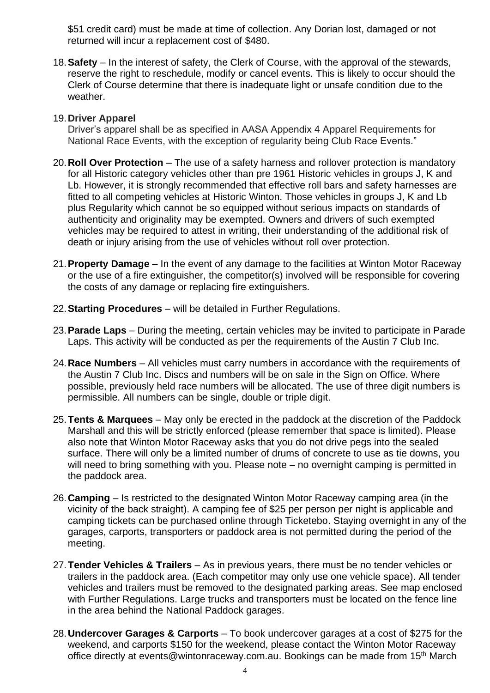\$51 credit card) must be made at time of collection. Any Dorian lost, damaged or not returned will incur a replacement cost of \$480.

18.**Safety** – In the interest of safety, the Clerk of Course, with the approval of the stewards, reserve the right to reschedule, modify or cancel events. This is likely to occur should the Clerk of Course determine that there is inadequate light or unsafe condition due to the weather.

#### 19.**Driver Apparel**

Driver's apparel shall be as specified in AASA Appendix 4 Apparel Requirements for National Race Events, with the exception of regularity being Club Race Events."

- 20.**Roll Over Protection** The use of a safety harness and rollover protection is mandatory for all Historic category vehicles other than pre 1961 Historic vehicles in groups J, K and Lb. However, it is strongly recommended that effective roll bars and safety harnesses are fitted to all competing vehicles at Historic Winton. Those vehicles in groups J, K and Lb plus Regularity which cannot be so equipped without serious impacts on standards of authenticity and originality may be exempted. Owners and drivers of such exempted vehicles may be required to attest in writing, their understanding of the additional risk of death or injury arising from the use of vehicles without roll over protection.
- 21.**Property Damage** In the event of any damage to the facilities at Winton Motor Raceway or the use of a fire extinguisher, the competitor(s) involved will be responsible for covering the costs of any damage or replacing fire extinguishers.
- 22.**Starting Procedures** will be detailed in Further Regulations.
- 23.**Parade Laps** During the meeting, certain vehicles may be invited to participate in Parade Laps. This activity will be conducted as per the requirements of the Austin 7 Club Inc.
- 24.**Race Numbers** All vehicles must carry numbers in accordance with the requirements of the Austin 7 Club Inc. Discs and numbers will be on sale in the Sign on Office. Where possible, previously held race numbers will be allocated. The use of three digit numbers is permissible. All numbers can be single, double or triple digit.
- 25.**Tents & Marquees** May only be erected in the paddock at the discretion of the Paddock Marshall and this will be strictly enforced (please remember that space is limited). Please also note that Winton Motor Raceway asks that you do not drive pegs into the sealed surface. There will only be a limited number of drums of concrete to use as tie downs, you will need to bring something with you. Please note – no overnight camping is permitted in the paddock area.
- 26.**Camping** Is restricted to the designated Winton Motor Raceway camping area (in the vicinity of the back straight). A camping fee of \$25 per person per night is applicable and camping tickets can be purchased online through Ticketebo. Staying overnight in any of the garages, carports, transporters or paddock area is not permitted during the period of the meeting.
- 27.**Tender Vehicles & Trailers** As in previous years, there must be no tender vehicles or trailers in the paddock area. (Each competitor may only use one vehicle space). All tender vehicles and trailers must be removed to the designated parking areas. See map enclosed with Further Regulations. Large trucks and transporters must be located on the fence line in the area behind the National Paddock garages.
- 28.**Undercover Garages & Carports** To book undercover garages at a cost of \$275 for the weekend, and carports \$150 for the weekend, please contact the Winton Motor Raceway office directly at events@wintonraceway.com.au. Bookings can be made from 15<sup>th</sup> March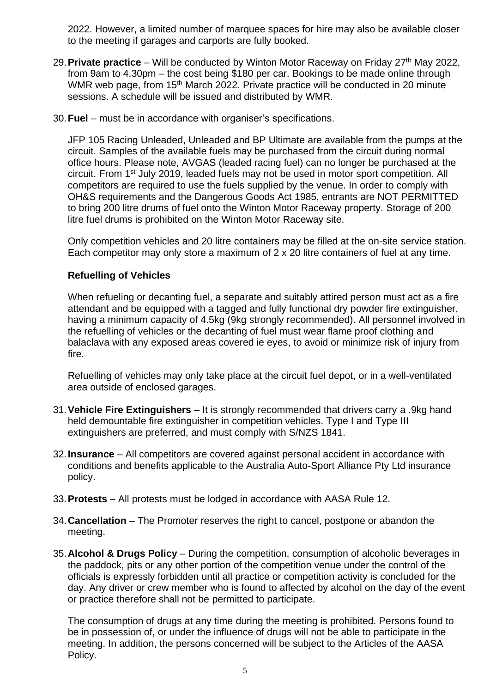2022. However, a limited number of marquee spaces for hire may also be available closer to the meeting if garages and carports are fully booked.

- 29. Private practice Will be conducted by Winton Motor Raceway on Friday 27<sup>th</sup> May 2022, from 9am to 4.30pm – the cost being \$180 per car. Bookings to be made online through WMR web page, from 15<sup>th</sup> March 2022. Private practice will be conducted in 20 minute sessions. A schedule will be issued and distributed by WMR.
- 30.**Fuel** must be in accordance with organiser's specifications.

JFP 105 Racing Unleaded, Unleaded and BP Ultimate are available from the pumps at the circuit. Samples of the available fuels may be purchased from the circuit during normal office hours. Please note, AVGAS (leaded racing fuel) can no longer be purchased at the circuit. From 1st July 2019, leaded fuels may not be used in motor sport competition. All competitors are required to use the fuels supplied by the venue. In order to comply with OH&S requirements and the Dangerous Goods Act 1985, entrants are NOT PERMITTED to bring 200 litre drums of fuel onto the Winton Motor Raceway property. Storage of 200 litre fuel drums is prohibited on the Winton Motor Raceway site.

Only competition vehicles and 20 litre containers may be filled at the on-site service station. Each competitor may only store a maximum of 2 x 20 litre containers of fuel at any time.

### **Refuelling of Vehicles**

When refueling or decanting fuel, a separate and suitably attired person must act as a fire attendant and be equipped with a tagged and fully functional dry powder fire extinguisher, having a minimum capacity of 4.5kg (9kg strongly recommended). All personnel involved in the refuelling of vehicles or the decanting of fuel must wear flame proof clothing and balaclava with any exposed areas covered ie eyes, to avoid or minimize risk of injury from fire.

Refuelling of vehicles may only take place at the circuit fuel depot, or in a well-ventilated area outside of enclosed garages.

- 31.**Vehicle Fire Extinguishers** It is strongly recommended that drivers carry a .9kg hand held demountable fire extinguisher in competition vehicles. Type I and Type III extinguishers are preferred, and must comply with S/NZS 1841.
- 32.**Insurance** All competitors are covered against personal accident in accordance with conditions and benefits applicable to the Australia Auto-Sport Alliance Pty Ltd insurance policy.
- 33.**Protests** All protests must be lodged in accordance with AASA Rule 12.
- 34.**Cancellation** The Promoter reserves the right to cancel, postpone or abandon the meeting.
- 35.**Alcohol & Drugs Policy** During the competition, consumption of alcoholic beverages in the paddock, pits or any other portion of the competition venue under the control of the officials is expressly forbidden until all practice or competition activity is concluded for the day. Any driver or crew member who is found to affected by alcohol on the day of the event or practice therefore shall not be permitted to participate.

The consumption of drugs at any time during the meeting is prohibited. Persons found to be in possession of, or under the influence of drugs will not be able to participate in the meeting. In addition, the persons concerned will be subject to the Articles of the AASA Policy.